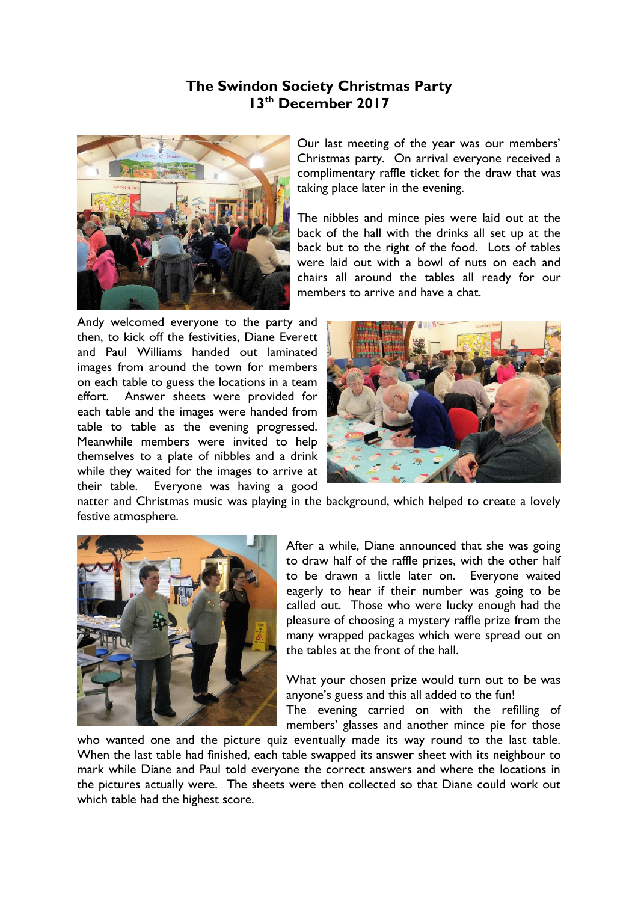## **The Swindon Society Christmas Party 13th December 2017**



Our last meeting of the year was our members' Christmas party. On arrival everyone received a complimentary raffle ticket for the draw that was taking place later in the evening.

The nibbles and mince pies were laid out at the back of the hall with the drinks all set up at the back but to the right of the food. Lots of tables were laid out with a bowl of nuts on each and chairs all around the tables all ready for our members to arrive and have a chat.

Andy welcomed everyone to the party and then, to kick off the festivities, Diane Everett and Paul Williams handed out laminated images from around the town for members on each table to guess the locations in a team effort. Answer sheets were provided for each table and the images were handed from table to table as the evening progressed. Meanwhile members were invited to help themselves to a plate of nibbles and a drink while they waited for the images to arrive at their table. Everyone was having a good



natter and Christmas music was playing in the background, which helped to create a lovely festive atmosphere.



After a while, Diane announced that she was going to draw half of the raffle prizes, with the other half to be drawn a little later on. Everyone waited eagerly to hear if their number was going to be called out. Those who were lucky enough had the pleasure of choosing a mystery raffle prize from the many wrapped packages which were spread out on the tables at the front of the hall.

What your chosen prize would turn out to be was anyone's guess and this all added to the fun! The evening carried on with the refilling of members' glasses and another mince pie for those

who wanted one and the picture quiz eventually made its way round to the last table. When the last table had finished, each table swapped its answer sheet with its neighbour to mark while Diane and Paul told everyone the correct answers and where the locations in the pictures actually were. The sheets were then collected so that Diane could work out which table had the highest score.